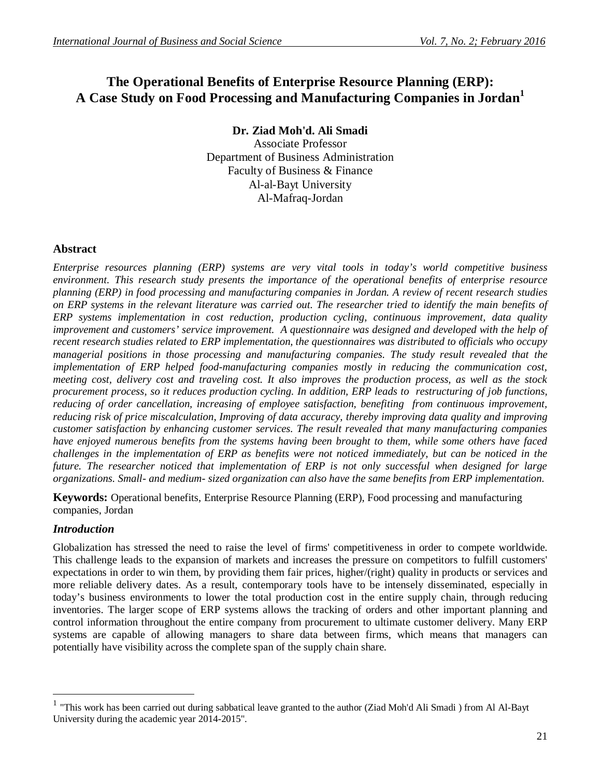# **The Operational Benefits of Enterprise Resource Planning (ERP): A Case Study on Food Processing and Manufacturing Companies in Jordan<sup>1</sup>**

**Dr. Ziad Moh'd. Ali Smadi**

Associate Professor Department of Business Administration Faculty of Business & Finance Al-al-Bayt University Al-Mafraq-Jordan

## **Abstract**

*Enterprise resources planning (ERP) systems are very vital tools in today's world competitive business environment. This research study presents the importance of the operational benefits of enterprise resource planning (ERP) in food processing and manufacturing companies in Jordan. A review of recent research studies on ERP systems in the relevant literature was carried out. The researcher tried to identify the main benefits of ERP systems implementation in cost reduction, production cycling, continuous improvement, data quality improvement and customers' service improvement. A questionnaire was designed and developed with the help of recent research studies related to ERP implementation, the questionnaires was distributed to officials who occupy managerial positions in those processing and manufacturing companies. The study result revealed that the implementation of ERP helped food-manufacturing companies mostly in reducing the communication cost, meeting cost, delivery cost and traveling cost. It also improves the production process, as well as the stock procurement process, so it reduces production cycling. In addition, ERP leads to restructuring of job functions, reducing of order cancellation, increasing of employee satisfaction, benefiting from continuous improvement, reducing risk of price miscalculation, Improving of data accuracy, thereby improving data quality and improving customer satisfaction by enhancing customer services. The result revealed that many manufacturing companies have enjoyed numerous benefits from the systems having been brought to them, while some others have faced challenges in the implementation of ERP as benefits were not noticed immediately, but can be noticed in the future. The researcher noticed that implementation of ERP is not only successful when designed for large organizations. Small- and medium- sized organization can also have the same benefits from ERP implementation.*

**Keywords:** Operational benefits, Enterprise Resource Planning (ERP), Food processing and manufacturing companies, Jordan

## *Introduction*

 $\overline{a}$ 

Globalization has stressed the need to raise the level of firms' competitiveness in order to compete worldwide. This challenge leads to the expansion of markets and increases the pressure on competitors to fulfill customers' expectations in order to win them, by providing them fair prices, higher/(right) quality in products or services and more reliable delivery dates. As a result, contemporary tools have to be intensely disseminated, especially in today's business environments to lower the total production cost in the entire supply chain, through reducing inventories. The larger scope of ERP systems allows the tracking of orders and other important planning and control information throughout the entire company from procurement to ultimate customer delivery. Many ERP systems are capable of allowing managers to share data between firms, which means that managers can potentially have visibility across the complete span of the supply chain share.

<sup>1</sup> "This work has been carried out during sabbatical leave granted to the author (Ziad Moh'd Ali Smadi ) from Al Al-Bayt University during the academic year 2014-2015".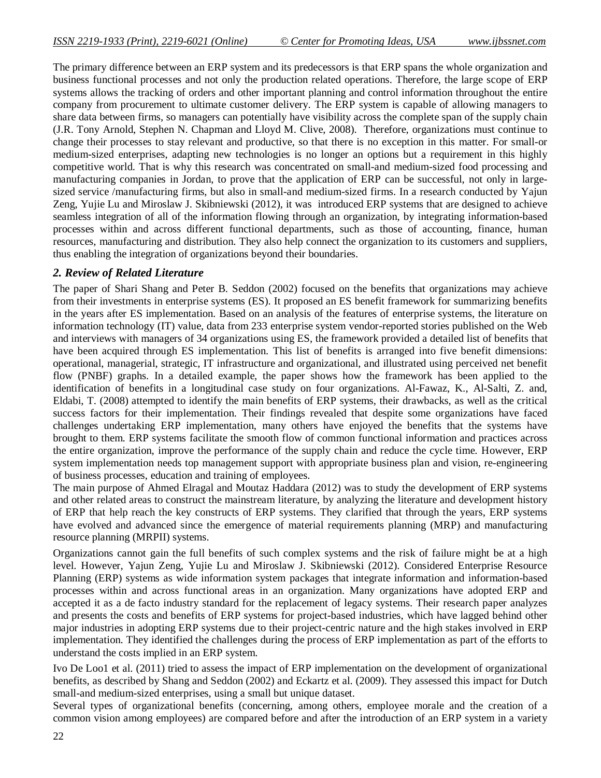The primary difference between an ERP system and its predecessors is that ERP spans the whole organization and business functional processes and not only the production related operations. Therefore, the large scope of ERP systems allows the tracking of orders and other important planning and control information throughout the entire company from procurement to ultimate customer delivery. The ERP system is capable of allowing managers to share data between firms, so managers can potentially have visibility across the complete span of the supply chain (J.R. Tony Arnold, Stephen N. Chapman and Lloyd M. Clive, 2008). Therefore, organizations must continue to change their processes to stay relevant and productive, so that there is no exception in this matter. For small-or medium-sized enterprises, adapting new technologies is no longer an options but a requirement in this highly competitive world. That is why this research was concentrated on small-and medium-sized food processing and manufacturing companies in Jordan, to prove that the application of ERP can be successful, not only in largesized service /manufacturing firms, but also in small-and medium-sized firms. In a research conducted by Yajun Zeng, Yujie Lu and Miroslaw J. Skibniewski (2012), it was introduced ERP systems that are designed to achieve seamless integration of all of the information flowing through an organization, by integrating information-based processes within and across different functional departments, such as those of accounting, finance, human resources, manufacturing and distribution. They also help connect the organization to its customers and suppliers, thus enabling the integration of organizations beyond their boundaries.

## *2. Review of Related Literature*

The paper of Shari Shang and Peter B. Seddon (2002) focused on the benefits that organizations may achieve from their investments in enterprise systems (ES). It proposed an ES benefit framework for summarizing benefits in the years after ES implementation. Based on an analysis of the features of enterprise systems, the literature on information technology (IT) value, data from 233 enterprise system vendor-reported stories published on the Web and interviews with managers of 34 organizations using ES, the framework provided a detailed list of benefits that have been acquired through ES implementation. This list of benefits is arranged into five benefit dimensions: operational, managerial, strategic, IT infrastructure and organizational, and illustrated using perceived net benefit flow (PNBF) graphs. In a detailed example, the paper shows how the framework has been applied to the identification of benefits in a longitudinal case study on four organizations. Al-Fawaz, K., Al-Salti, Z. and, Eldabi, T. (2008) attempted to identify the main benefits of ERP systems, their drawbacks, as well as the critical success factors for their implementation. Their findings revealed that despite some organizations have faced challenges undertaking ERP implementation, many others have enjoyed the benefits that the systems have brought to them. ERP systems facilitate the smooth flow of common functional information and practices across the entire organization, improve the performance of the supply chain and reduce the cycle time. However, ERP system implementation needs top management support with appropriate business plan and vision, re-engineering of business processes, education and training of employees.

The main purpose of Ahmed Elragal and Moutaz Haddara (2012) was to study the development of ERP systems and other related areas to construct the mainstream literature, by analyzing the literature and development history of ERP that help reach the key constructs of ERP systems. They clarified that through the years, ERP systems have evolved and advanced since the emergence of material requirements planning (MRP) and manufacturing resource planning (MRPII) systems.

Organizations cannot gain the full benefits of such complex systems and the risk of failure might be at a high level. However, Yajun Zeng, Yujie Lu and Miroslaw J. Skibniewski (2012). Considered Enterprise Resource Planning (ERP) systems as wide information system packages that integrate information and information-based processes within and across functional areas in an organization. Many organizations have adopted ERP and accepted it as a de facto industry standard for the replacement of legacy systems. Their research paper analyzes and presents the costs and benefits of ERP systems for project-based industries, which have lagged behind other major industries in adopting ERP systems due to their project-centric nature and the high stakes involved in ERP implementation. They identified the challenges during the process of ERP implementation as part of the efforts to understand the costs implied in an ERP system.

Ivo De Loo1 et al. (2011) tried to assess the impact of ERP implementation on the development of organizational benefits, as described by Shang and Seddon (2002) and Eckartz et al. (2009). They assessed this impact for Dutch small-and medium-sized enterprises, using a small but unique dataset.

Several types of organizational benefits (concerning, among others, employee morale and the creation of a common vision among employees) are compared before and after the introduction of an ERP system in a variety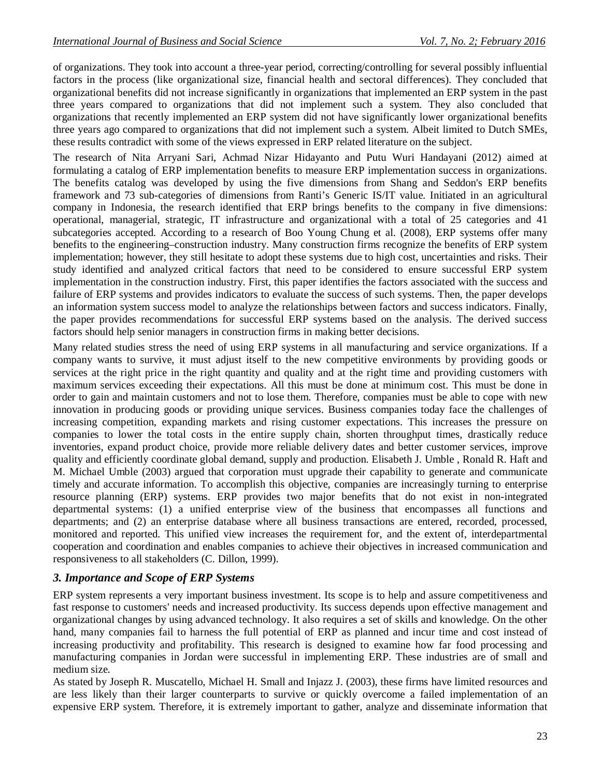of organizations. They took into account a three-year period, correcting/controlling for several possibly influential factors in the process (like organizational size, financial health and sectoral differences). They concluded that organizational benefits did not increase significantly in organizations that implemented an ERP system in the past three years compared to organizations that did not implement such a system. They also concluded that organizations that recently implemented an ERP system did not have significantly lower organizational benefits three years ago compared to organizations that did not implement such a system. Albeit limited to Dutch SMEs, these results contradict with some of the views expressed in ERP related literature on the subject.

The research of Nita Arryani Sari, Achmad Nizar Hidayanto and Putu Wuri Handayani (2012) aimed at formulating a catalog of ERP implementation benefits to measure ERP implementation success in organizations. The benefits catalog was developed by using the five dimensions from Shang and Seddon's ERP benefits framework and 73 sub-categories of dimensions from Ranti's Generic IS/IT value. Initiated in an agricultural company in Indonesia, the research identified that ERP brings benefits to the company in five dimensions: operational, managerial, strategic, IT infrastructure and organizational with a total of 25 categories and 41 subcategories accepted. According to a research of Boo Young Chung et al. (2008), ERP systems offer many benefits to the engineering–construction industry. Many construction firms recognize the benefits of ERP system implementation; however, they still hesitate to adopt these systems due to high cost, uncertainties and risks. Their study identified and analyzed critical factors that need to be considered to ensure successful ERP system implementation in the construction industry. First, this paper identifies the factors associated with the success and failure of ERP systems and provides indicators to evaluate the success of such systems. Then, the paper develops an information system success model to analyze the relationships between factors and success indicators. Finally, the paper provides recommendations for successful ERP systems based on the analysis. The derived success factors should help senior managers in construction firms in making better decisions.

Many related studies stress the need of using ERP systems in all manufacturing and service organizations. If a company wants to survive, it must adjust itself to the new competitive environments by providing goods or services at the right price in the right quantity and quality and at the right time and providing customers with maximum services exceeding their expectations. All this must be done at minimum cost. This must be done in order to gain and maintain customers and not to lose them. Therefore, companies must be able to cope with new innovation in producing goods or providing unique services. Business companies today face the challenges of increasing competition, expanding markets and rising customer expectations. This increases the pressure on companies to lower the total costs in the entire supply chain, shorten throughput times, drastically reduce inventories, expand product choice, provide more reliable delivery dates and better customer services, improve quality and efficiently coordinate global demand, supply and production. Elisabeth J. Umble , Ronald R. Haft and M. Michael Umble (2003) argued that corporation must upgrade their capability to generate and communicate timely and accurate information. To accomplish this objective, companies are increasingly turning to enterprise resource planning (ERP) systems. ERP provides two major benefits that do not exist in non-integrated departmental systems: (1) a unified enterprise view of the business that encompasses all functions and departments; and (2) an enterprise database where all business transactions are entered, recorded, processed, monitored and reported. This unified view increases the requirement for, and the extent of, interdepartmental cooperation and coordination and enables companies to achieve their objectives in increased communication and responsiveness to all stakeholders (C. Dillon, 1999).

## *3. Importance and Scope of ERP Systems*

ERP system represents a very important business investment. Its scope is to help and assure competitiveness and fast response to customers' needs and increased productivity. Its success depends upon effective management and organizational changes by using advanced technology. It also requires a set of skills and knowledge. On the other hand, many companies fail to harness the full potential of ERP as planned and incur time and cost instead of increasing productivity and profitability. This research is designed to examine how far food processing and manufacturing companies in Jordan were successful in implementing ERP. These industries are of small and medium size.

As stated by Joseph R. Muscatello, Michael H. Small and Injazz J. (2003), these firms have limited resources and are less likely than their larger counterparts to survive or quickly overcome a failed implementation of an expensive ERP system. Therefore, it is extremely important to gather, analyze and disseminate information that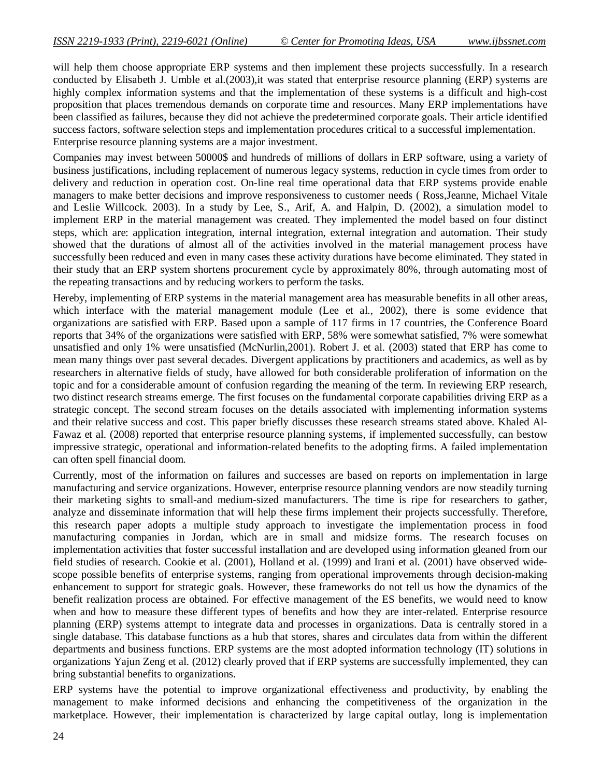will help them choose appropriate ERP systems and then implement these projects successfully. In a research conducted by Elisabeth J. Umble et al. (2003), it was stated that enterprise resource planning (ERP) systems are highly complex information systems and that the implementation of these systems is a difficult and high-cost proposition that places tremendous demands on corporate time and resources. Many ERP implementations have been classified as failures, because they did not achieve the predetermined corporate goals. Their article identified success factors, software selection steps and implementation procedures critical to a successful implementation. Enterprise resource planning systems are a major investment.

Companies may invest between 50000\$ and hundreds of millions of dollars in ERP software, using a variety of business justifications, including replacement of numerous legacy systems, reduction in cycle times from order to delivery and reduction in operation cost. On-line real time operational data that ERP systems provide enable managers to make better decisions and improve responsiveness to customer needs ( Ross,Jeanne, Michael Vitale and Leslie Willcock. 2003). In a study by Lee, S., Arif, A. and Halpin, D. (2002), a simulation model to implement ERP in the material management was created. They implemented the model based on four distinct steps, which are: application integration, internal integration, external integration and automation. Their study showed that the durations of almost all of the activities involved in the material management process have successfully been reduced and even in many cases these activity durations have become eliminated. They stated in their study that an ERP system shortens procurement cycle by approximately 80%, through automating most of the repeating transactions and by reducing workers to perform the tasks.

Hereby, implementing of ERP systems in the material management area has measurable benefits in all other areas, which interface with the material management module (Lee et al., 2002), there is some evidence that organizations are satisfied with ERP. Based upon a sample of 117 firms in 17 countries, the Conference Board reports that 34% of the organizations were satisfied with ERP, 58% were somewhat satisfied, 7% were somewhat unsatisfied and only 1% were unsatisfied (McNurlin,2001). Robert J. et al. (2003) stated that ERP has come to mean many things over past several decades. Divergent applications by practitioners and academics, as well as by researchers in alternative fields of study, have allowed for both considerable proliferation of information on the topic and for a considerable amount of confusion regarding the meaning of the term. In reviewing ERP research, two distinct research streams emerge. The first focuses on the fundamental corporate capabilities driving ERP as a strategic concept. The second stream focuses on the details associated with implementing information systems and their relative success and cost. This paper briefly discusses these research streams stated above. Khaled Al-Fawaz et al. (2008) reported that enterprise resource planning systems, if implemented successfully, can bestow impressive strategic, operational and information-related benefits to the adopting firms. A failed implementation can often spell financial doom.

Currently, most of the information on failures and successes are based on reports on implementation in large manufacturing and service organizations. However, enterprise resource planning vendors are now steadily turning their marketing sights to small-and medium-sized manufacturers. The time is ripe for researchers to gather, analyze and disseminate information that will help these firms implement their projects successfully. Therefore, this research paper adopts a multiple study approach to investigate the implementation process in food manufacturing companies in Jordan, which are in small and midsize forms. The research focuses on implementation activities that foster successful installation and are developed using information gleaned from our field studies of research. Cookie et al. (2001), Holland et al. (1999) and Irani et al. (2001) have observed widescope possible benefits of enterprise systems, ranging from operational improvements through decision-making enhancement to support for strategic goals. However, these frameworks do not tell us how the dynamics of the benefit realization process are obtained. For effective management of the ES benefits, we would need to know when and how to measure these different types of benefits and how they are inter-related. Enterprise resource planning (ERP) systems attempt to integrate data and processes in organizations. Data is centrally stored in a single database. This database functions as a hub that stores, shares and circulates data from within the different departments and business functions. ERP systems are the most adopted information technology (IT) solutions in organizations Yajun Zeng et al. (2012) clearly proved that if ERP systems are successfully implemented, they can bring substantial benefits to organizations.

ERP systems have the potential to improve organizational effectiveness and productivity, by enabling the management to make informed decisions and enhancing the competitiveness of the organization in the marketplace. However, their implementation is characterized by large capital outlay, long is implementation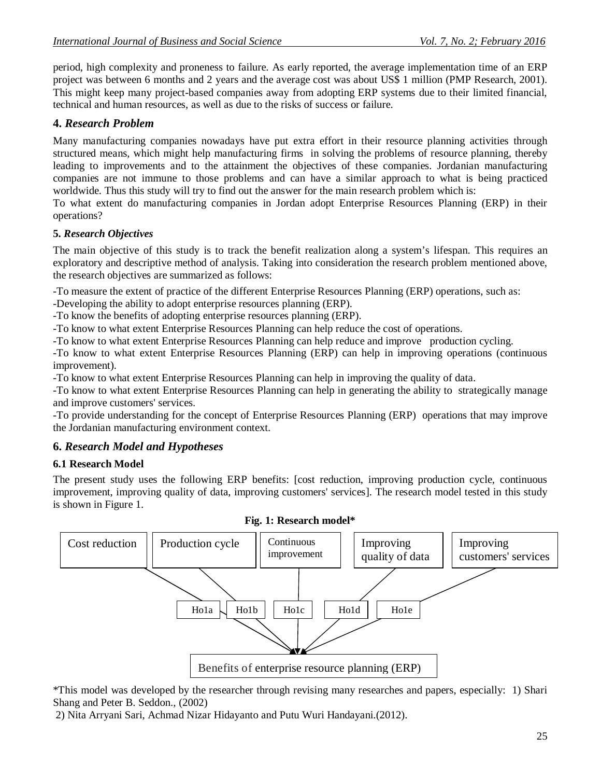period, high complexity and proneness to failure. As early reported, the average implementation time of an ERP project was between 6 months and 2 years and the average cost was about US\$ 1 million (PMP Research, 2001). This might keep many project-based companies away from adopting ERP systems due to their limited financial, technical and human resources, as well as due to the risks of success or failure.

## **4.** *Research Problem*

Many manufacturing companies nowadays have put extra effort in their resource planning activities through structured means, which might help manufacturing firms in solving the problems of resource planning, thereby leading to improvements and to the attainment the objectives of these companies. Jordanian manufacturing companies are not immune to those problems and can have a similar approach to what is being practiced worldwide. Thus this study will try to find out the answer for the main research problem which is:

To what extent do manufacturing companies in Jordan adopt Enterprise Resources Planning (ERP) in their operations?

## **5.** *Research Objectives*

The main objective of this study is to track the benefit realization along a system's lifespan. This requires an exploratory and descriptive method of analysis. Taking into consideration the research problem mentioned above, the research objectives are summarized as follows:

-To measure the extent of practice of the different Enterprise Resources Planning (ERP) operations, such as:

-Developing the ability to adopt enterprise resources planning (ERP).

-To know the benefits of adopting enterprise resources planning (ERP).

-To know to what extent Enterprise Resources Planning can help reduce the cost of operations.

-To know to what extent Enterprise Resources Planning can help reduce and improve production cycling.

-To know to what extent Enterprise Resources Planning (ERP) can help in improving operations (continuous improvement).

-To know to what extent Enterprise Resources Planning can help in improving the quality of data.

-To know to what extent Enterprise Resources Planning can help in generating the ability to strategically manage and improve customers' services.

-To provide understanding for the concept of Enterprise Resources Planning (ERP) operations that may improve the Jordanian manufacturing environment context.

## **6.** *Research Model and Hypotheses*

## **6.1 Research Model**

The present study uses the following ERP benefits: [cost reduction, improving production cycle, continuous improvement, improving quality of data, improving customers' services]. The research model tested in this study is shown in Figure 1.



#### **Fig. 1: Research model\***

\*This model was developed by the researcher through revising many researches and papers, especially: 1) Shari Shang and Peter B. Seddon., (2002)

2) Nita Arryani Sari, Achmad Nizar Hidayanto and Putu Wuri Handayani.(2012).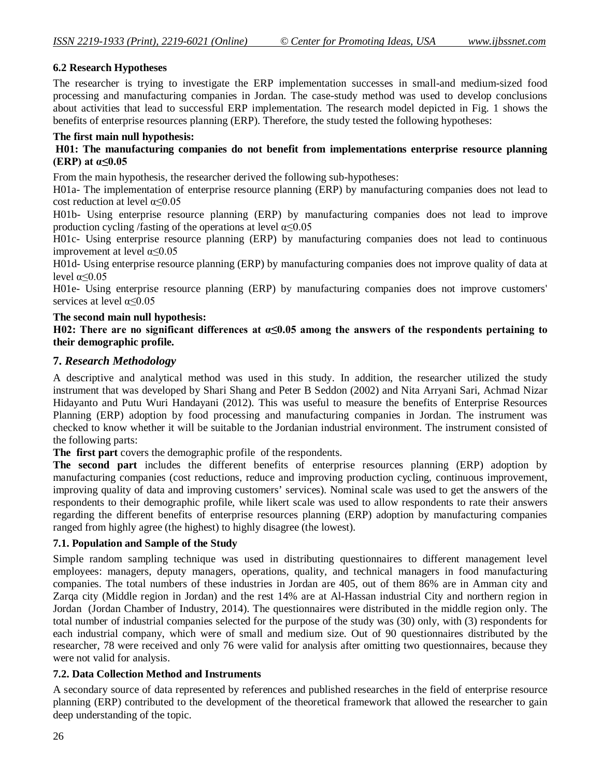## **6.2 Research Hypotheses**

The researcher is trying to investigate the ERP implementation successes in small-and medium-sized food processing and manufacturing companies in Jordan. The case-study method was used to develop conclusions about activities that lead to successful ERP implementation. The research model depicted in Fig. 1 shows the benefits of enterprise resources planning (ERP). Therefore, the study tested the following hypotheses:

#### **The first main null hypothesis:**

#### **H01: The manufacturing companies do not benefit from implementations enterprise resource planning (ERP) at α≤0.05**

From the main hypothesis, the researcher derived the following sub-hypotheses:

H01a- The implementation of enterprise resource planning (ERP) by manufacturing companies does not lead to cost reduction at level  $\alpha \leq 0.05$ 

H01b- Using enterprise resource planning (ERP) by manufacturing companies does not lead to improve production cycling /fasting of the operations at level  $\alpha \leq 0.05$ 

H01c- Using enterprise resource planning (ERP) by manufacturing companies does not lead to continuous improvement at level  $\alpha \leq 0.05$ 

H01d- Using enterprise resource planning (ERP) by manufacturing companies does not improve quality of data at level  $\alpha \leq 0.05$ 

H01e- Using enterprise resource planning (ERP) by manufacturing companies does not improve customers' services at level  $\alpha \le 0.05$ 

#### **The second main null hypothesis:**

**H02: There are no significant differences at α≤0.05 among the answers of the respondents pertaining to their demographic profile.**

## **7.** *Research Methodology*

A descriptive and analytical method was used in this study. In addition, the researcher utilized the study instrument that was developed by Shari Shang and Peter B Seddon (2002) and Nita Arryani Sari, Achmad Nizar Hidayanto and Putu Wuri Handayani (2012). This was useful to measure the benefits of Enterprise Resources Planning (ERP) adoption by food processing and manufacturing companies in Jordan. The instrument was checked to know whether it will be suitable to the Jordanian industrial environment. The instrument consisted of the following parts:

**The first part** covers the demographic profile of the respondents.

**The second part** includes the different benefits of enterprise resources planning (ERP) adoption by manufacturing companies (cost reductions, reduce and improving production cycling, continuous improvement, improving quality of data and improving customers' services). Nominal scale was used to get the answers of the respondents to their demographic profile, while likert scale was used to allow respondents to rate their answers regarding the different benefits of enterprise resources planning (ERP) adoption by manufacturing companies ranged from highly agree (the highest) to highly disagree (the lowest).

## **7.1. Population and Sample of the Study**

Simple random sampling technique was used in distributing questionnaires to different management level employees: managers, deputy managers, operations, quality, and technical managers in food manufacturing companies. The total numbers of these industries in Jordan are 405, out of them 86% are in Amman city and Zarqa city (Middle region in Jordan) and the rest 14% are at Al-Hassan industrial City and northern region in Jordan (Jordan Chamber of Industry, 2014). The questionnaires were distributed in the middle region only. The total number of industrial companies selected for the purpose of the study was (30) only, with (3) respondents for each industrial company, which were of small and medium size. Out of 90 questionnaires distributed by the researcher, 78 were received and only 76 were valid for analysis after omitting two questionnaires, because they were not valid for analysis.

#### **7.2. Data Collection Method and Instruments**

A secondary source of data represented by references and published researches in the field of enterprise resource planning (ERP) contributed to the development of the theoretical framework that allowed the researcher to gain deep understanding of the topic.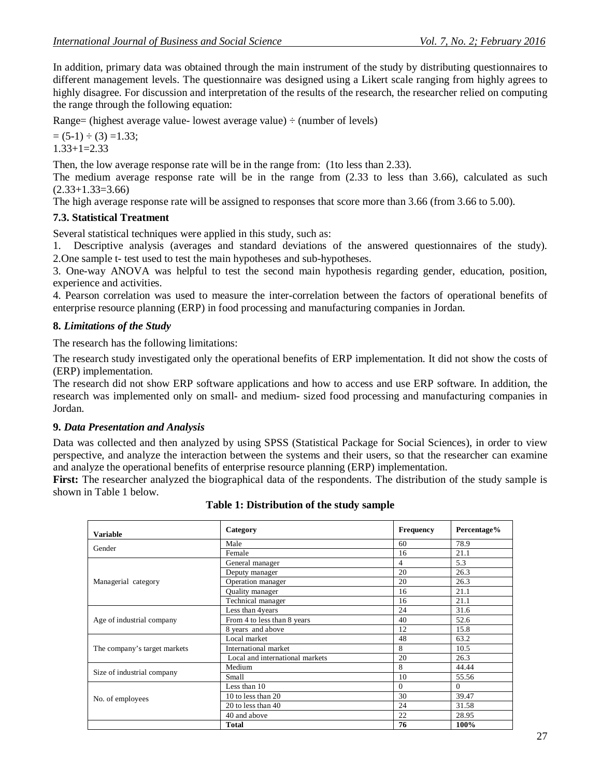In addition, primary data was obtained through the main instrument of the study by distributing questionnaires to different management levels. The questionnaire was designed using a Likert scale ranging from highly agrees to highly disagree. For discussion and interpretation of the results of the research, the researcher relied on computing the range through the following equation:

Range= (highest average value- lowest average value)  $\div$  (number of levels)

 $= (5-1) \div (3) = 1.33$ ;  $1.33+1=2.33$ 

Then, the low average response rate will be in the range from: (1to less than 2.33).

The medium average response rate will be in the range from (2.33 to less than 3.66), calculated as such  $(2.33+1.33=3.66)$ 

The high average response rate will be assigned to responses that score more than 3.66 (from 3.66 to 5.00).

## **7.3. Statistical Treatment**

Several statistical techniques were applied in this study, such as:

1. Descriptive analysis (averages and standard deviations of the answered questionnaires of the study). 2.One sample t- test used to test the main hypotheses and sub-hypotheses.

3. One-way ANOVA was helpful to test the second main hypothesis regarding gender, education, position, experience and activities.

4. Pearson correlation was used to measure the inter-correlation between the factors of operational benefits of enterprise resource planning (ERP) in food processing and manufacturing companies in Jordan.

#### **8.** *Limitations of the Study*

The research has the following limitations:

The research study investigated only the operational benefits of ERP implementation. It did not show the costs of (ERP) implementation.

The research did not show ERP software applications and how to access and use ERP software. In addition, the research was implemented only on small- and medium- sized food processing and manufacturing companies in Jordan.

#### **9.** *Data Presentation and Analysis*

Data was collected and then analyzed by using SPSS (Statistical Package for Social Sciences), in order to view perspective, and analyze the interaction between the systems and their users, so that the researcher can examine and analyze the operational benefits of enterprise resource planning (ERP) implementation.

**First:** The researcher analyzed the biographical data of the respondents. The distribution of the study sample is shown in Table 1 below.

| <b>Variable</b>              | Category                        | <b>Frequency</b> | Percentage% |
|------------------------------|---------------------------------|------------------|-------------|
| Gender                       | Male                            | 60               | 78.9        |
|                              | Female                          | 16               | 21.1        |
|                              | General manager                 | 4                | 5.3         |
|                              | Deputy manager                  | 20               | 26.3        |
| Managerial category          | Operation manager               | 20               | 26.3        |
|                              | Quality manager                 | 16               | 21.1        |
|                              | Technical manager               | 16               | 21.1        |
|                              | Less than 4years                | 24               | 31.6        |
| Age of industrial company    | From 4 to less than 8 years     | 40               | 52.6        |
|                              | 8 years and above               | 12               | 15.8        |
|                              | Local market                    | 48               | 63.2        |
| The company's target markets | International market            | 8                | 10.5        |
|                              | Local and international markets | 20               | 26.3        |
|                              | Medium                          | 8                | 44.44       |
| Size of industrial company   | Small                           | 10               | 55.56       |
|                              | Less than 10                    | $\Omega$         | $\Omega$    |
| No. of employees             | 10 to less than 20              | 30               | 39.47       |
|                              | 20 to less than 40              | 24               | 31.58       |
|                              | 40 and above                    | 22               | 28.95       |
|                              | <b>Total</b>                    | 76               | 100%        |

## **Table 1: Distribution of the study sample**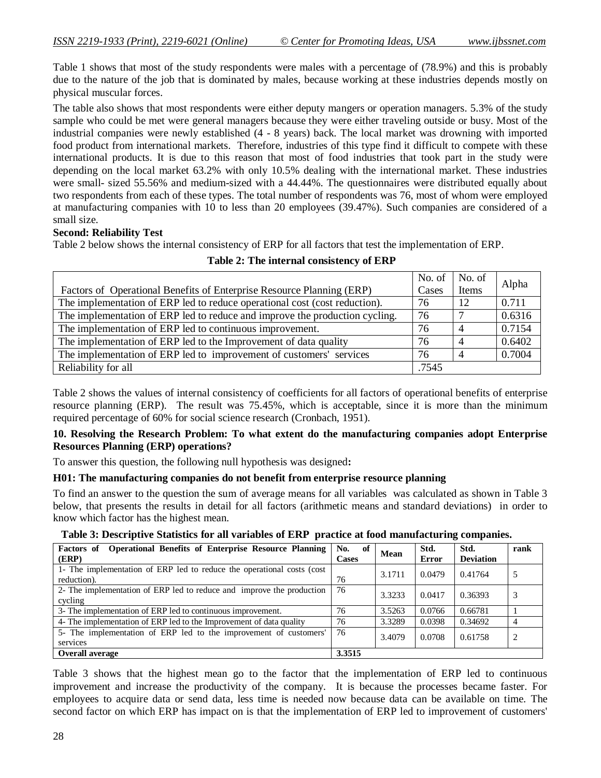Table 1 shows that most of the study respondents were males with a percentage of (78.9%) and this is probably due to the nature of the job that is dominated by males, because working at these industries depends mostly on physical muscular forces.

The table also shows that most respondents were either deputy mangers or operation managers. 5.3% of the study sample who could be met were general managers because they were either traveling outside or busy. Most of the industrial companies were newly established (4 - 8 years) back. The local market was drowning with imported food product from international markets. Therefore, industries of this type find it difficult to compete with these international products. It is due to this reason that most of food industries that took part in the study were depending on the local market 63.2% with only 10.5% dealing with the international market. These industries were small- sized 55.56% and medium-sized with a 44.44%. The questionnaires were distributed equally about two respondents from each of these types. The total number of respondents was 76, most of whom were employed at manufacturing companies with 10 to less than 20 employees (39.47%). Such companies are considered of a small size.

#### **Second: Reliability Test**

Table 2 below shows the internal consistency of ERP for all factors that test the implementation of ERP.

| Factors of Operational Benefits of Enterprise Resource Planning (ERP)       | No. of<br>Cases | No. of<br>Items | Alpha  |
|-----------------------------------------------------------------------------|-----------------|-----------------|--------|
| The implementation of ERP led to reduce operational cost (cost reduction).  | 76              | 12              | 0.711  |
| The implementation of ERP led to reduce and improve the production cycling. | 76              | $\overline{ }$  | 0.6316 |
| The implementation of ERP led to continuous improvement.                    | 76              | $\overline{4}$  | 0.7154 |
| The implementation of ERP led to the Improvement of data quality            | 76              | $\overline{4}$  | 0.6402 |
| The implementation of ERP led to improvement of customers' services         | 76              | $\overline{4}$  | 0.7004 |
| Reliability for all                                                         | .7545           |                 |        |

**Table 2: The internal consistency of ERP**

Table 2 shows the values of internal consistency of coefficients for all factors of operational benefits of enterprise resource planning (ERP). The result was 75.45%, which is acceptable, since it is more than the minimum required percentage of 60% for social science research (Cronbach, 1951).

#### **10. Resolving the Research Problem: To what extent do the manufacturing companies adopt Enterprise Resources Planning (ERP) operations?**

To answer this question, the following null hypothesis was designed**:**

#### **H01: The manufacturing companies do not benefit from enterprise resource planning**

To find an answer to the question the sum of average means for all variables was calculated as shown in Table 3 below, that presents the results in detail for all factors (arithmetic means and standard deviations) in order to know which factor has the highest mean.

| Table 3: Descriptive Statistics for all variables of ERP practice at food manufacturing companies. |  |  |
|----------------------------------------------------------------------------------------------------|--|--|
|----------------------------------------------------------------------------------------------------|--|--|

| Factors of<br><b>Operational Benefits of Enterprise Resource Planning</b><br>(ERP)     | No.<br>of<br>Cases | Mean   | Std.<br><b>Error</b> | Std.<br><b>Deviation</b> | rank |
|----------------------------------------------------------------------------------------|--------------------|--------|----------------------|--------------------------|------|
| 1- The implementation of ERP led to reduce the operational costs (cost)<br>reduction). | 76                 | 3.1711 | 0.0479               | 0.41764                  |      |
| 2- The implementation of ERP led to reduce and improve the production<br>cycling       | 76                 | 3.3233 | 0.0417               | 0.36393                  |      |
| 3- The implementation of ERP led to continuous improvement.                            | 76                 | 3.5263 | 0.0766               | 0.66781                  |      |
| 4- The implementation of ERP led to the Improvement of data quality                    | 76                 | 3.3289 | 0.0398               | 0.34692                  |      |
| 5- The implementation of ERP led to the improvement of customers'<br>services          | 76                 | 3.4079 | 0.0708               | 0.61758                  | 2    |
| <b>Overall average</b>                                                                 | 3.3515             |        |                      |                          |      |

Table 3 shows that the highest mean go to the factor that the implementation of ERP led to continuous improvement and increase the productivity of the company. It is because the processes became faster. For employees to acquire data or send data, less time is needed now because data can be available on time. The second factor on which ERP has impact on is that the implementation of ERP led to improvement of customers'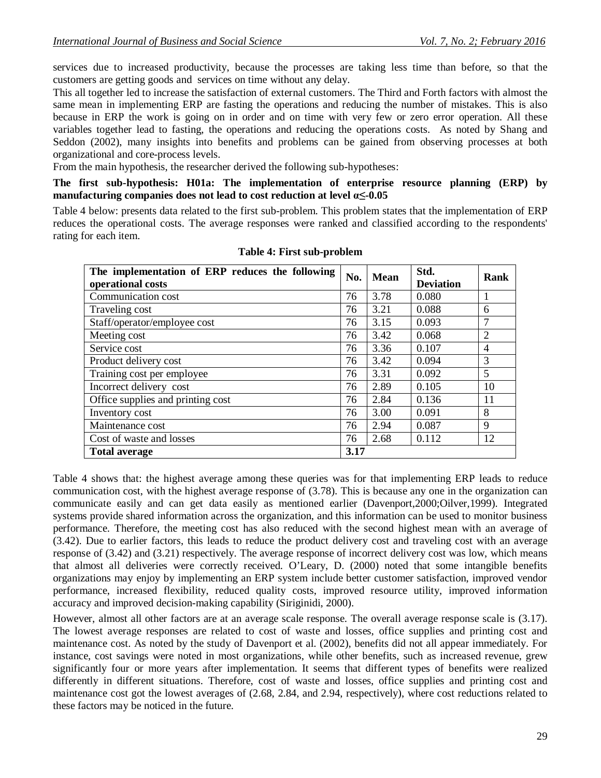services due to increased productivity, because the processes are taking less time than before, so that the customers are getting goods and services on time without any delay.

This all together led to increase the satisfaction of external customers. The Third and Forth factors with almost the same mean in implementing ERP are fasting the operations and reducing the number of mistakes. This is also because in ERP the work is going on in order and on time with very few or zero error operation. All these variables together lead to fasting, the operations and reducing the operations costs. As noted by Shang and Seddon (2002), many insights into benefits and problems can be gained from observing processes at both organizational and core-process levels.

From the main hypothesis, the researcher derived the following sub-hypotheses:

**The first sub-hypothesis: H01a: The implementation of enterprise resource planning (ERP) by manufacturing companies does not lead to cost reduction at level α≤-0.05** 

Table 4 below: presents data related to the first sub-problem. This problem states that the implementation of ERP reduces the operational costs. The average responses were ranked and classified according to the respondents' rating for each item.

| The implementation of ERP reduces the following<br>operational costs | No.  | <b>Mean</b> | Std.<br><b>Deviation</b> | Rank           |
|----------------------------------------------------------------------|------|-------------|--------------------------|----------------|
| Communication cost                                                   | 76   | 3.78        | 0.080                    |                |
| Traveling cost                                                       | 76   | 3.21        | 0.088                    | 6              |
| Staff/operator/employee cost                                         | 76   | 3.15        | 0.093                    | $\overline{7}$ |
| Meeting cost                                                         | 76   | 3.42        | 0.068                    | 2              |
| Service cost                                                         | 76   | 3.36        | 0.107                    | $\overline{4}$ |
| Product delivery cost                                                | 76   | 3.42        | 0.094                    | 3              |
| Training cost per employee                                           | 76   | 3.31        | 0.092                    | 5              |
| Incorrect delivery cost                                              | 76   | 2.89        | 0.105                    | 10             |
| Office supplies and printing cost                                    | 76   | 2.84        | 0.136                    | 11             |
| Inventory cost                                                       | 76   | 3.00        | 0.091                    | 8              |
| Maintenance cost                                                     | 76   | 2.94        | 0.087                    | 9              |
| Cost of waste and losses                                             | 76   | 2.68        | 0.112                    | 12             |
| <b>Total average</b>                                                 | 3.17 |             |                          |                |

**Table 4: First sub-problem**

Table 4 shows that: the highest average among these queries was for that implementing ERP leads to reduce communication cost, with the highest average response of (3.78). This is because any one in the organization can communicate easily and can get data easily as mentioned earlier (Davenport,2000;Oilver,1999). Integrated systems provide shared information across the organization, and this information can be used to monitor business performance. Therefore, the meeting cost has also reduced with the second highest mean with an average of (3.42). Due to earlier factors, this leads to reduce the product delivery cost and traveling cost with an average response of (3.42) and (3.21) respectively. The average response of incorrect delivery cost was low, which means that almost all deliveries were correctly received. O'Leary, D. (2000) noted that some intangible benefits organizations may enjoy by implementing an ERP system include better customer satisfaction, improved vendor performance, increased flexibility, reduced quality costs, improved resource utility, improved information accuracy and improved decision-making capability (Siriginidi, 2000).

However, almost all other factors are at an average scale response. The overall average response scale is (3.17). The lowest average responses are related to cost of waste and losses, office supplies and printing cost and maintenance cost. As noted by the study of Davenport et al. (2002), benefits did not all appear immediately. For instance, cost savings were noted in most organizations, while other benefits, such as increased revenue, grew significantly four or more years after implementation. It seems that different types of benefits were realized differently in different situations. Therefore, cost of waste and losses, office supplies and printing cost and maintenance cost got the lowest averages of (2.68, 2.84, and 2.94, respectively), where cost reductions related to these factors may be noticed in the future.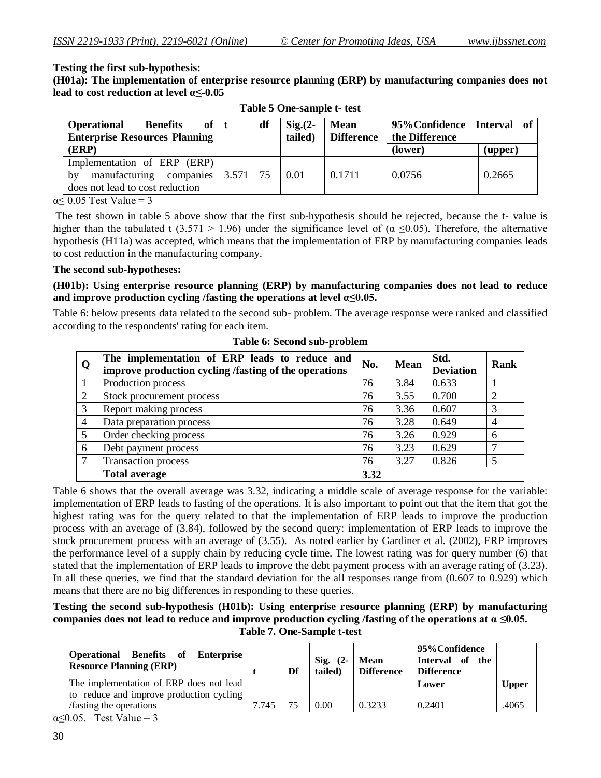#### **Testing the first sub-hypothesis:**

**(H01a): The implementation of enterprise resource planning (ERP) by manufacturing companies does not lead to cost reduction at level α≤-0.05**

| <b>Benefits</b><br><b>Operational</b><br>$of \pm$<br><b>Enterprise Resources Planning</b>                 | df | $Sig(2 -$<br>tailed) | <b>Mean</b><br><b>Difference</b> | 95% Confidence Interval of<br>the Difference |         |
|-----------------------------------------------------------------------------------------------------------|----|----------------------|----------------------------------|----------------------------------------------|---------|
| (ERP)                                                                                                     |    |                      |                                  | (lower)                                      | (upper) |
| Implementation of ERP (ERP)<br>manufacturing companies $ 3.571 $<br>by<br>does not lead to cost reduction | 75 | 0.01                 | 0.1711                           | 0.0756                                       | 0.2665  |

**Table 5 One-sample t- test**

 $\alpha \leq 0.05$  Test Value = 3

The test shown in table 5 above show that the first sub-hypothesis should be rejected, because the t- value is higher than the tabulated t (3.571 > 1.96) under the significance level of ( $\alpha \le 0.05$ ). Therefore, the alternative hypothesis (H11a) was accepted, which means that the implementation of ERP by manufacturing companies leads to cost reduction in the manufacturing company.

#### **The second sub-hypotheses:**

**(H01b): Using enterprise resource planning (ERP) by manufacturing companies does not lead to reduce**  and improve production cycling /fasting the operations at level  $\alpha \leq 0.05$ .

Table 6: below presents data related to the second sub- problem. The average response were ranked and classified according to the respondents' rating for each item.

| Q              | The implementation of ERP leads to reduce and<br>improve production cycling /fasting of the operations | No.  | <b>Mean</b> | Std.<br><b>Deviation</b> | <b>Rank</b> |
|----------------|--------------------------------------------------------------------------------------------------------|------|-------------|--------------------------|-------------|
| $\overline{1}$ | Production process                                                                                     | 76   | 3.84        | 0.633                    |             |
| 2              | Stock procurement process                                                                              | 76   | 3.55        | 0.700                    |             |
| 3              | Report making process                                                                                  | 76   | 3.36        | 0.607                    |             |
| $\overline{4}$ | Data preparation process                                                                               | 76   | 3.28        | 0.649                    | 4           |
| $\mathfrak{S}$ | Order checking process                                                                                 | 76   | 3.26        | 0.929                    | 6           |
| 6              | Debt payment process                                                                                   | 76   | 3.23        | 0.629                    |             |
| $\tau$         | Transaction process                                                                                    | 76   | 3.27        | 0.826                    | 5           |
|                | <b>Total average</b>                                                                                   | 3.32 |             |                          |             |

**Table 6: Second sub-problem**

Table 6 shows that the overall average was 3.32, indicating a middle scale of average response for the variable: implementation of ERP leads to fasting of the operations. It is also important to point out that the item that got the highest rating was for the query related to that the implementation of ERP leads to improve the production process with an average of (3.84), followed by the second query: implementation of ERP leads to improve the stock procurement process with an average of (3.55). As noted earlier by Gardiner et al. (2002), ERP improves the performance level of a supply chain by reducing cycle time. The lowest rating was for query number (6) that stated that the implementation of ERP leads to improve the debt payment process with an average rating of (3.23). In all these queries, we find that the standard deviation for the all responses range from (0.607 to 0.929) which means that there are no big differences in responding to these queries.

**Testing the second sub-hypothesis (H01b): Using enterprise resource planning (ERP) by manufacturing companies does not lead to reduce and improve production cycling /fasting of the operations at α ≤0.05. Table 7. One-Sample t-test**

| <b>Operational Benefits of Enterprise</b><br><b>Resource Planning (ERP)</b> |       | Df | Sig. $(2-$<br>tailed) | <b>Mean</b><br><b>Difference</b> | 95% Confidence<br>Interval of the<br><b>Difference</b> |              |
|-----------------------------------------------------------------------------|-------|----|-----------------------|----------------------------------|--------------------------------------------------------|--------------|
| The implementation of ERP does not lead                                     |       |    |                       |                                  | Lower                                                  | <b>Upper</b> |
| to reduce and improve production cycling                                    |       |    |                       |                                  |                                                        |              |
| /fasting the operations                                                     | 7.745 | 75 | 0.00                  | 0.3233                           | 0.2401                                                 | .4065        |

 $\alpha \leq 0.05$ . Test Value = 3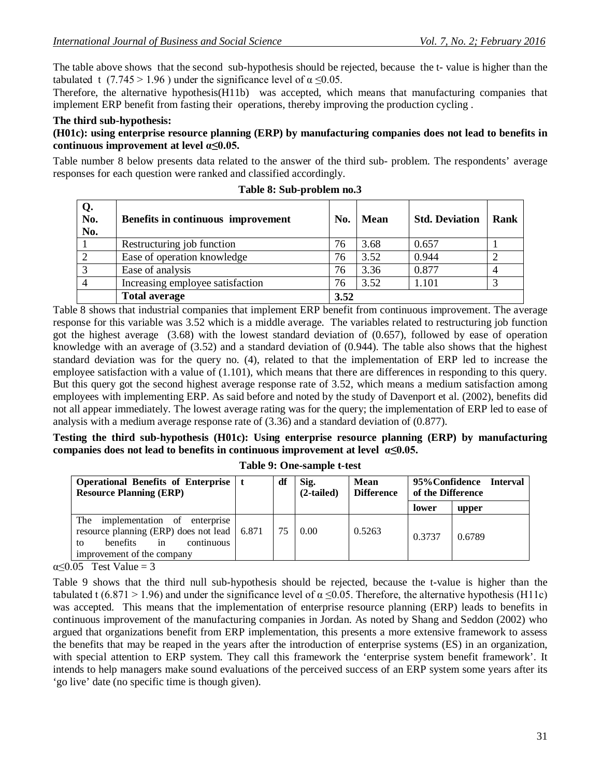The table above shows that the second sub-hypothesis should be rejected, because the t- value is higher than the tabulated t (7.745 > 1.96) under the significance level of  $\alpha \le 0.05$ .

Therefore, the alternative hypothesis(H11b) was accepted, which means that manufacturing companies that implement ERP benefit from fasting their operations, thereby improving the production cycling .

#### **The third sub-hypothesis:**

#### **(H01c): using enterprise resource planning (ERP) by manufacturing companies does not lead to benefits in continuous improvement at level α≤0.05.**

Table number 8 below presents data related to the answer of the third sub- problem. The respondents' average responses for each question were ranked and classified accordingly.

| Q.<br>No.<br>No. | Benefits in continuous improvement | No.  | Mean | <b>Std. Deviation</b> | Rank |
|------------------|------------------------------------|------|------|-----------------------|------|
|                  | Restructuring job function         | 76   | 3.68 | 0.657                 |      |
|                  | Ease of operation knowledge        | 76   | 3.52 | 0.944                 |      |
| $\mathbf{c}$     | Ease of analysis                   | 76   | 3.36 | 0.877                 |      |
|                  | Increasing employee satisfaction   | 76   | 3.52 | 1.101                 |      |
|                  | <b>Total average</b>               | 3.52 |      |                       |      |

|  |  | Table 8: Sub-problem no.3 |  |
|--|--|---------------------------|--|
|--|--|---------------------------|--|

Table 8 shows that industrial companies that implement ERP benefit from continuous improvement. The average response for this variable was 3.52 which is a middle average. The variables related to restructuring job function got the highest average (3.68) with the lowest standard deviation of (0.657), followed by ease of operation knowledge with an average of (3.52) and a standard deviation of (0.944). The table also shows that the highest standard deviation was for the query no. (4), related to that the implementation of ERP led to increase the employee satisfaction with a value of (1.101), which means that there are differences in responding to this query. But this query got the second highest average response rate of 3.52, which means a medium satisfaction among employees with implementing ERP. As said before and noted by the study of Davenport et al. (2002), benefits did not all appear immediately. The lowest average rating was for the query; the implementation of ERP led to ease of analysis with a medium average response rate of (3.36) and a standard deviation of (0.877).

**Testing the third sub-hypothesis (H01c): Using enterprise resource planning (ERP) by manufacturing companies does not lead to benefits in continuous improvement at level α≤0.05.**

| Operational Benefits of Enterprise   t<br><b>Resource Planning (ERP)</b>                                                                                 | df | Sig.<br>$(2-tailed)$ | Mean<br><b>Difference</b> | of the Difference | 95% Confidence Interval |
|----------------------------------------------------------------------------------------------------------------------------------------------------------|----|----------------------|---------------------------|-------------------|-------------------------|
|                                                                                                                                                          |    |                      |                           | lower             | upper                   |
| The<br>implementation of enterprise<br>resource planning (ERP) does not lead   6.871<br>benefits<br>continuous<br>to<br>in<br>improvement of the company | 75 | 0.00                 | 0.5263                    | 0.3737            | 0.6789                  |

**Table 9: One-sample t-test**

 $\alpha \leq 0.05$  Test Value = 3

Table 9 shows that the third null sub-hypothesis should be rejected, because the t-value is higher than the tabulated t (6.871 > 1.96) and under the significance level of  $\alpha \le 0.05$ . Therefore, the alternative hypothesis (H11c) was accepted. This means that the implementation of enterprise resource planning (ERP) leads to benefits in continuous improvement of the manufacturing companies in Jordan. As noted by Shang and Seddon (2002) who argued that organizations benefit from ERP implementation, this presents a more extensive framework to assess the benefits that may be reaped in the years after the introduction of enterprise systems (ES) in an organization, with special attention to ERP system. They call this framework the 'enterprise system benefit framework'. It intends to help managers make sound evaluations of the perceived success of an ERP system some years after its 'go live' date (no specific time is though given).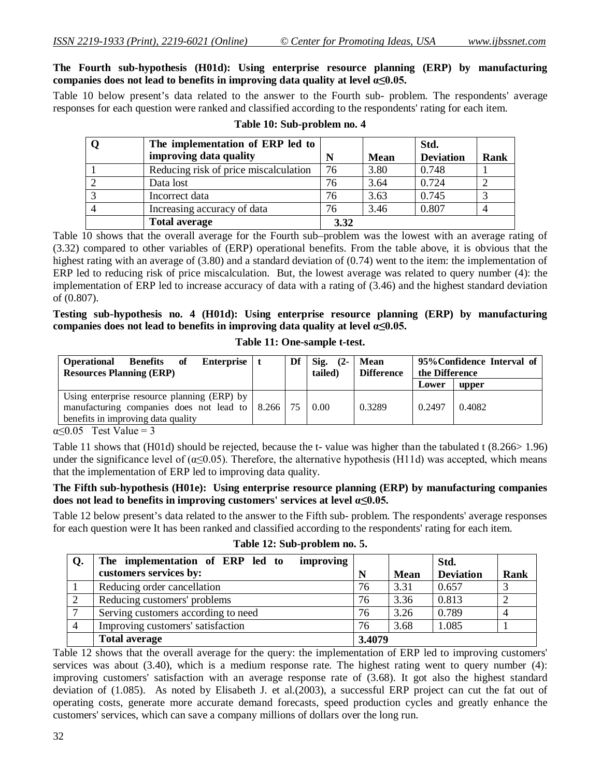#### **The Fourth sub-hypothesis (H01d): Using enterprise resource planning (ERP) by manufacturing companies does not lead to benefits in improving data quality at level α≤0.05.**

Table 10 below present's data related to the answer to the Fourth sub- problem. The respondents' average responses for each question were ranked and classified according to the respondents' rating for each item.

| The implementation of ERP led to      |      |             | Std.             |      |
|---------------------------------------|------|-------------|------------------|------|
| improving data quality                | N    | <b>Mean</b> | <b>Deviation</b> | Rank |
| Reducing risk of price miscalculation | 76   | 3.80        | 0.748            |      |
| Data lost                             | 76   | 3.64        | 0.724            |      |
| Incorrect data                        | 76   | 3.63        | 0.745            |      |
| Increasing accuracy of data           | 76   | 3.46        | 0.807            |      |
| <b>Total average</b>                  | 3.32 |             |                  |      |

## **Table 10: Sub-problem no. 4**

Table 10 shows that the overall average for the Fourth sub–problem was the lowest with an average rating of (3.32) compared to other variables of (ERP) operational benefits. From the table above, it is obvious that the highest rating with an average of (3.80) and a standard deviation of (0.74) went to the item: the implementation of ERP led to reducing risk of price miscalculation. But, the lowest average was related to query number (4): the implementation of ERP led to increase accuracy of data with a rating of (3.46) and the highest standard deviation of (0.807).

**Testing sub-hypothesis no. 4 (H01d): Using enterprise resource planning (ERP) by manufacturing companies does not lead to benefits in improving data quality at level α≤0.05.**

| Table 11: One-sample t-test. |  |  |  |
|------------------------------|--|--|--|
|------------------------------|--|--|--|

| <b>Benefits of</b><br>Enterprise  <br><b>Operational</b><br><b>Resources Planning (ERP)</b>                                                            | Df | Sig. $(2-$<br>(tailed | Mean<br><b>Difference</b> | 95% Confidence Interval of<br>the Difference |        |
|--------------------------------------------------------------------------------------------------------------------------------------------------------|----|-----------------------|---------------------------|----------------------------------------------|--------|
|                                                                                                                                                        |    |                       |                           | Lower                                        | upper  |
| Using enterprise resource planning (ERP) by<br>manufacturing companies does not lead to $\vert$ 8.266 $\vert$ 75<br>benefits in improving data quality |    | 0.00                  | 0.3289                    | 0.2497                                       | 0.4082 |

 $\alpha \leq 0.05$  Test Value = 3

Table 11 shows that (H01d) should be rejected, because the t- value was higher than the tabulated t (8.266> 1.96) under the significance level of ( $\alpha \le 0.05$ ). Therefore, the alternative hypothesis (H11d) was accepted, which means that the implementation of ERP led to improving data quality.

#### **The Fifth sub-hypothesis (H01e): Using enterprise resource planning (ERP) by manufacturing companies does not lead to benefits in improving customers' services at level α≤0.05.**

Table 12 below present's data related to the answer to the Fifth sub- problem. The respondents' average responses for each question were It has been ranked and classified according to the respondents' rating for each item.

| Q. | improving<br>The implementation of ERP led to |        |             | Std.             |             |
|----|-----------------------------------------------|--------|-------------|------------------|-------------|
|    | customers services by:                        |        | <b>Mean</b> | <b>Deviation</b> | <b>Rank</b> |
|    | Reducing order cancellation                   | 76     | 3.31        | 0.657            |             |
|    | Reducing customers' problems                  | 76     | 3.36        | 0.813            |             |
|    | Serving customers according to need           | 76     | 3.26        | 0.789            |             |
|    | Improving customers' satisfaction             | 76     | 3.68        | 1.085            |             |
|    | <b>Total average</b>                          | 3.4079 |             |                  |             |

#### **Table 12: Sub-problem no. 5.**

Table 12 shows that the overall average for the query: the implementation of ERP led to improving customers' services was about (3.40), which is a medium response rate. The highest rating went to query number (4): improving customers' satisfaction with an average response rate of (3.68). It got also the highest standard deviation of (1.085). As noted by Elisabeth J. et al.(2003), a successful ERP project can cut the fat out of operating costs, generate more accurate demand forecasts, speed production cycles and greatly enhance the customers' services, which can save a company millions of dollars over the long run.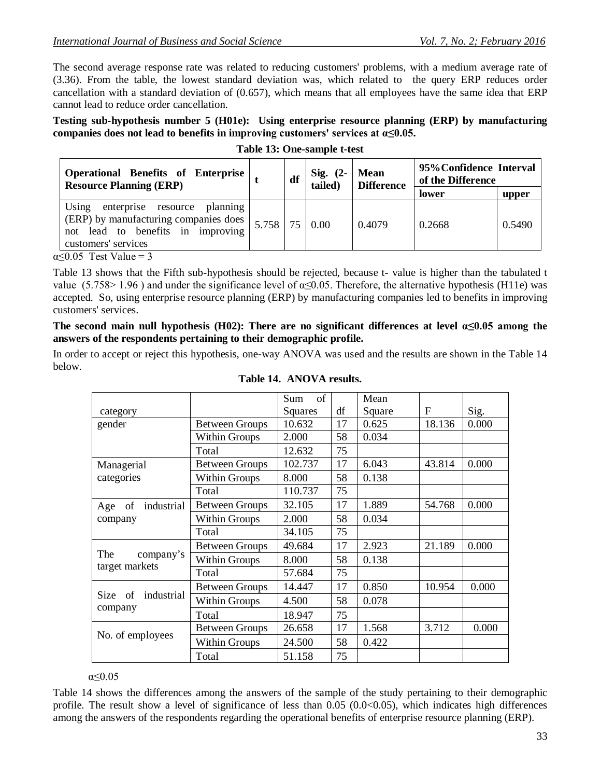The second average response rate was related to reducing customers' problems, with a medium average rate of (3.36). From the table, the lowest standard deviation was, which related to the query ERP reduces order cancellation with a standard deviation of (0.657), which means that all employees have the same idea that ERP cannot lead to reduce order cancellation.

**Testing sub-hypothesis number 5 (H01e): Using enterprise resource planning (ERP) by manufacturing companies does not lead to benefits in improving customers' services at α≤0.05.**

| <b>Operational Benefits of Enterprise</b><br><b>Resource Planning (ERP)</b>                                                                | df              |  | $Sig. (2-$<br>tailed) | <b>Mean</b><br><b>Difference</b> | 95% Confidence Interval<br>of the Difference |        |
|--------------------------------------------------------------------------------------------------------------------------------------------|-----------------|--|-----------------------|----------------------------------|----------------------------------------------|--------|
|                                                                                                                                            |                 |  |                       |                                  | lower                                        | upper  |
| Using<br>enterprise resource planning<br>(ERP) by manufacturing companies does<br>not lead to benefits in improving<br>customers' services | $5.758$ 75 0.00 |  |                       | 0.4079                           | 0.2668                                       | 0.5490 |

**Table 13: One-sample t-test**

 $\alpha$ <0.05 Test Value = 3

Table 13 shows that the Fifth sub-hypothesis should be rejected, because t- value is higher than the tabulated t value (5.758> 1.96) and under the significance level of  $\alpha \le 0.05$ . Therefore, the alternative hypothesis (H11e) was accepted. So, using enterprise resource planning (ERP) by manufacturing companies led to benefits in improving customers' services.

The second main null hypothesis (H02): There are no significant differences at level  $\alpha \le 0.05$  among the **answers of the respondents pertaining to their demographic profile.**

In order to accept or reject this hypothesis, one-way ANOVA was used and the results are shown in the Table 14 below.

|                       |                       | of<br>Sum |    | Mean   |        |       |
|-----------------------|-----------------------|-----------|----|--------|--------|-------|
| category              |                       | Squares   | df | Square | F      | Sig.  |
| gender                | <b>Between Groups</b> | 10.632    | 17 | 0.625  | 18.136 | 0.000 |
|                       | <b>Within Groups</b>  | 2.000     | 58 | 0.034  |        |       |
|                       | Total                 | 12.632    | 75 |        |        |       |
| Managerial            | <b>Between Groups</b> | 102.737   | 17 | 6.043  | 43.814 | 0.000 |
| categories            | <b>Within Groups</b>  | 8.000     | 58 | 0.138  |        |       |
|                       | Total                 | 110.737   | 75 |        |        |       |
| industrial<br>Age of  | <b>Between Groups</b> | 32.105    | 17 | 1.889  | 54.768 | 0.000 |
| company               | <b>Within Groups</b>  | 2.000     | 58 | 0.034  |        |       |
|                       | Total                 | 34.105    | 75 |        |        |       |
|                       | <b>Between Groups</b> | 49.684    | 17 | 2.923  | 21.189 | 0.000 |
| The<br>company's      | <b>Within Groups</b>  | 8.000     | 58 | 0.138  |        |       |
| target markets        | Total                 | 57.684    | 75 |        |        |       |
|                       | <b>Between Groups</b> | 14.447    | 17 | 0.850  | 10.954 | 0.000 |
| industrial<br>Size of | <b>Within Groups</b>  | 4.500     | 58 | 0.078  |        |       |
| company               | Total                 | 18.947    | 75 |        |        |       |
|                       | <b>Between Groups</b> | 26.658    | 17 | 1.568  | 3.712  | 0.000 |
| No. of employees      | <b>Within Groups</b>  | 24.500    | 58 | 0.422  |        |       |
|                       | Total                 | 51.158    | 75 |        |        |       |

#### **Table 14. ANOVA results.**

α≤0.05

Table 14 shows the differences among the answers of the sample of the study pertaining to their demographic profile. The result show a level of significance of less than  $0.05$  ( $0.0<0.05$ ), which indicates high differences among the answers of the respondents regarding the operational benefits of enterprise resource planning (ERP).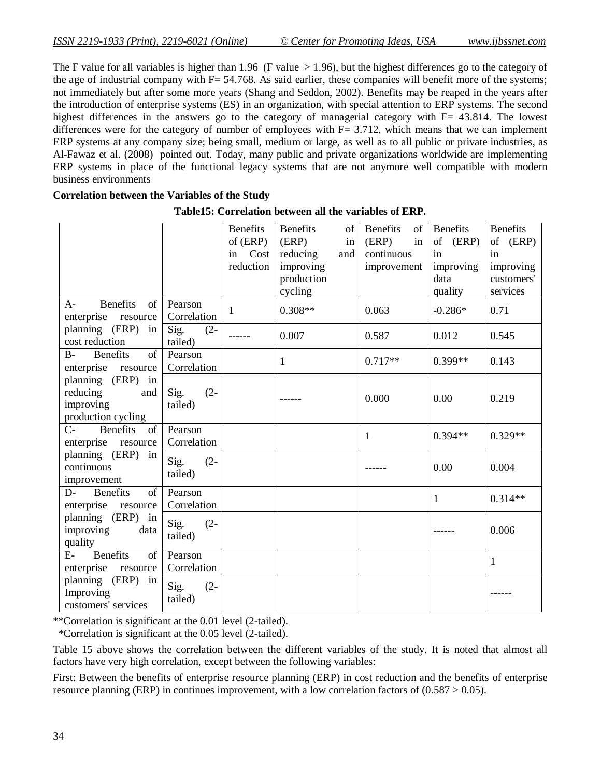The F value for all variables is higher than 1.96 (F value  $> 1.96$ ), but the highest differences go to the category of the age of industrial company with  $F = 54.768$ . As said earlier, these companies will benefit more of the systems; not immediately but after some more years (Shang and Seddon, 2002). Benefits may be reaped in the years after the introduction of enterprise systems (ES) in an organization, with special attention to ERP systems. The second highest differences in the answers go to the category of managerial category with F= 43.814. The lowest differences were for the category of number of employees with  $F = 3.712$ , which means that we can implement ERP systems at any company size; being small, medium or large, as well as to all public or private industries, as Al-Fawaz et al. (2008) pointed out. Today, many public and private organizations worldwide are implementing ERP systems in place of the functional legacy systems that are not anymore well compatible with modern business environments

| <b>Benefits</b><br><b>Benefits</b><br><b>Benefits</b><br><b>Benefits</b><br><b>Benefits</b><br>of<br>of<br>of (ERP)<br>in<br>of (ERP)<br>(ERP)<br>(ERP)<br>of (ERP)<br>in |
|---------------------------------------------------------------------------------------------------------------------------------------------------------------------------|
|                                                                                                                                                                           |
|                                                                                                                                                                           |
| continuous<br>in Cost<br>reducing<br>in<br>in<br>and                                                                                                                      |
| reduction<br>improving<br>improving<br>improving<br>improvement                                                                                                           |
| production<br>customers'<br>data                                                                                                                                          |
| cycling<br>quality<br>services                                                                                                                                            |
| <b>Benefits</b><br><sub>of</sub><br>Pearson<br>$A-$                                                                                                                       |
| $0.308**$<br>0.063<br>$-0.286*$<br>0.71<br>$\mathbf{1}$<br>enterprise<br>Correlation                                                                                      |
| resource                                                                                                                                                                  |
| planning (ERP) in<br>Sig.<br>$(2 -$<br>0.007<br>0.587<br>0.012<br>0.545                                                                                                   |
| cost reduction<br>tailed)                                                                                                                                                 |
| <b>Benefits</b><br>of<br>$B-$<br>Pearson<br>$0.717**$<br>$0.399**$<br>0.143<br>$\mathbf{1}$                                                                               |
| enterprise resource<br>Correlation                                                                                                                                        |
| planning (ERP) in                                                                                                                                                         |
| reducing<br>Sig.<br>$(2 -$<br>and<br>0.000<br>0.219                                                                                                                       |
| 0.00<br>improving<br>tailed)                                                                                                                                              |
| production cycling                                                                                                                                                        |
| <b>Benefits</b><br>of<br>$C-$<br>Pearson                                                                                                                                  |
| $0.394**$<br>$0.329**$<br>$\mathbf{1}$<br>enterprise resource<br>Correlation                                                                                              |
| planning (ERP)<br>in                                                                                                                                                      |
| Sig.<br>$(2 -$<br>continuous<br>0.004<br>0.00                                                                                                                             |
| tailed)                                                                                                                                                                   |
| improvement                                                                                                                                                               |
| <b>Benefits</b><br><sub>of</sub><br>Pearson<br>$D$ -<br>$0.314**$<br>1                                                                                                    |
| Correlation<br>enterprise resource                                                                                                                                        |
| planning (ERP) in<br>Sig.<br>$(2 -$                                                                                                                                       |
| improving<br>0.006<br>data<br>tailed)                                                                                                                                     |
| quality                                                                                                                                                                   |
| <b>Benefits</b><br>Pearson<br>$E-$<br>of                                                                                                                                  |
| $\mathbf{1}$<br>enterprise resource<br>Correlation                                                                                                                        |
| planning (ERP) in                                                                                                                                                         |
| Sig.<br>$(2 -$<br>Improving                                                                                                                                               |
| tailed)<br>customers' services                                                                                                                                            |

#### **Correlation between the Variables of the Study**

## **Table15: Correlation between all the variables of ERP.**

\*\*Correlation is significant at the 0.01 level (2-tailed).

\*Correlation is significant at the 0.05 level (2-tailed).

Table 15 above shows the correlation between the different variables of the study. It is noted that almost all factors have very high correlation, except between the following variables:

First: Between the benefits of enterprise resource planning (ERP) in cost reduction and the benefits of enterprise resource planning (ERP) in continues improvement, with a low correlation factors of (0.587 > 0.05).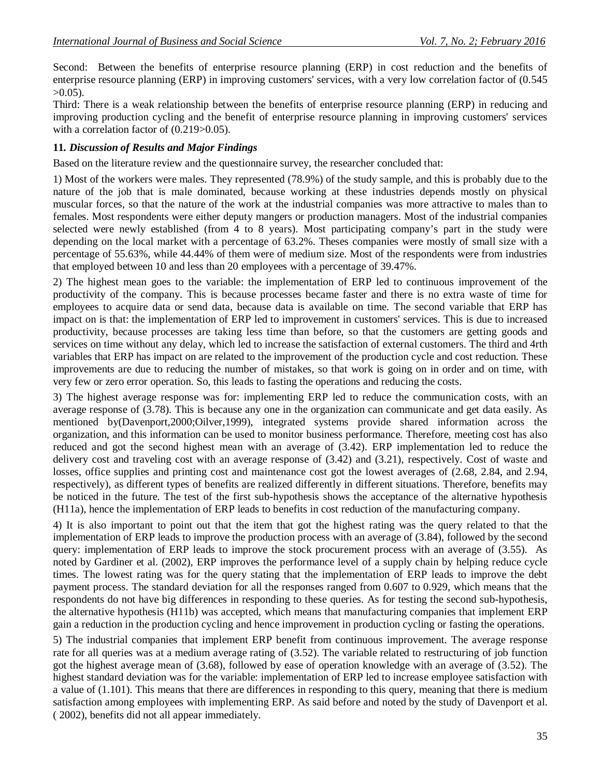Second: Between the benefits of enterprise resource planning (ERP) in cost reduction and the benefits of enterprise resource planning (ERP) in improving customers' services, with a very low correlation factor of (0.545  $>0.05$ ).

Third: There is a weak relationship between the benefits of enterprise resource planning (ERP) in reducing and improving production cycling and the benefit of enterprise resource planning in improving customers' services with a correlation factor of  $(0.219>0.05)$ .

## **11***. Discussion of Results and Major Findings*

Based on the literature review and the questionnaire survey, the researcher concluded that:

1) Most of the workers were males. They represented (78.9%) of the study sample, and this is probably due to the nature of the job that is male dominated, because working at these industries depends mostly on physical muscular forces, so that the nature of the work at the industrial companies was more attractive to males than to females. Most respondents were either deputy mangers or production managers. Most of the industrial companies selected were newly established (from 4 to 8 years). Most participating company's part in the study were depending on the local market with a percentage of 63.2%. Theses companies were mostly of small size with a percentage of 55.63%, while 44.44% of them were of medium size. Most of the respondents were from industries that employed between 10 and less than 20 employees with a percentage of 39.47%.

2) The highest mean goes to the variable: the implementation of ERP led to continuous improvement of the productivity of the company. This is because processes became faster and there is no extra waste of time for employees to acquire data or send data, because data is available on time. The second variable that ERP has impact on is that: the implementation of ERP led to improvement in customers' services. This is due to increased productivity, because processes are taking less time than before, so that the customers are getting goods and services on time without any delay, which led to increase the satisfaction of external customers. The third and 4rth variables that ERP has impact on are related to the improvement of the production cycle and cost reduction. These improvements are due to reducing the number of mistakes, so that work is going on in order and on time, with very few or zero error operation. So, this leads to fasting the operations and reducing the costs.

3) The highest average response was for: implementing ERP led to reduce the communication costs, with an average response of (3.78). This is because any one in the organization can communicate and get data easily. As mentioned by(Davenport,2000;Oilver,1999), integrated systems provide shared information across the organization, and this information can be used to monitor business performance. Therefore, meeting cost has also reduced and got the second highest mean with an average of (3.42). ERP implementation led to reduce the delivery cost and traveling cost with an average response of (3.42) and (3.21), respectively. Cost of waste and losses, office supplies and printing cost and maintenance cost got the lowest averages of (2.68, 2.84, and 2.94, respectively), as different types of benefits are realized differently in different situations. Therefore, benefits may be noticed in the future. The test of the first sub-hypothesis shows the acceptance of the alternative hypothesis (H11a), hence the implementation of ERP leads to benefits in cost reduction of the manufacturing company.

4) It is also important to point out that the item that got the highest rating was the query related to that the implementation of ERP leads to improve the production process with an average of (3.84), followed by the second query: implementation of ERP leads to improve the stock procurement process with an average of (3.55). As noted by Gardiner et al. (2002), ERP improves the performance level of a supply chain by helping reduce cycle times. The lowest rating was for the query stating that the implementation of ERP leads to improve the debt payment process. The standard deviation for all the responses ranged from 0.607 to 0.929, which means that the respondents do not have big differences in responding to these queries. As for testing the second sub-hypothesis, the alternative hypothesis (H11b) was accepted, which means that manufacturing companies that implement ERP gain a reduction in the production cycling and hence improvement in production cycling or fasting the operations.

5) The industrial companies that implement ERP benefit from continuous improvement. The average response rate for all queries was at a medium average rating of (3.52). The variable related to restructuring of job function got the highest average mean of (3.68), followed by ease of operation knowledge with an average of (3.52). The highest standard deviation was for the variable: implementation of ERP led to increase employee satisfaction with a value of (1.101). This means that there are differences in responding to this query, meaning that there is medium satisfaction among employees with implementing ERP. As said before and noted by the study of Davenport et al. ( 2002), benefits did not all appear immediately.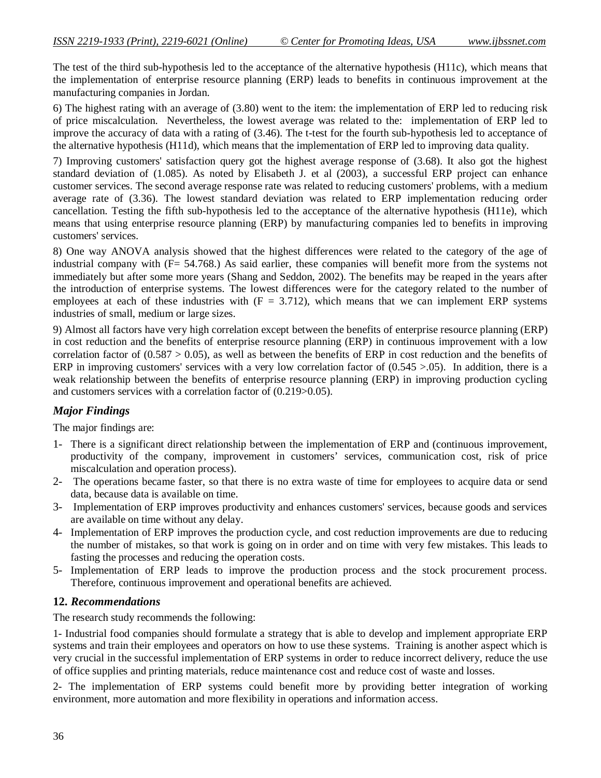The test of the third sub-hypothesis led to the acceptance of the alternative hypothesis (H11c), which means that the implementation of enterprise resource planning (ERP) leads to benefits in continuous improvement at the manufacturing companies in Jordan.

6) The highest rating with an average of (3.80) went to the item: the implementation of ERP led to reducing risk of price miscalculation. Nevertheless, the lowest average was related to the: implementation of ERP led to improve the accuracy of data with a rating of (3.46). The t-test for the fourth sub-hypothesis led to acceptance of the alternative hypothesis (H11d), which means that the implementation of ERP led to improving data quality.

7) Improving customers' satisfaction query got the highest average response of (3.68). It also got the highest standard deviation of (1.085). As noted by Elisabeth J. et al (2003), a successful ERP project can enhance customer services. The second average response rate was related to reducing customers' problems, with a medium average rate of (3.36). The lowest standard deviation was related to ERP implementation reducing order cancellation. Testing the fifth sub-hypothesis led to the acceptance of the alternative hypothesis (H11e), which means that using enterprise resource planning (ERP) by manufacturing companies led to benefits in improving customers' services.

8) One way ANOVA analysis showed that the highest differences were related to the category of the age of industrial company with (F= 54.768.) As said earlier, these companies will benefit more from the systems not immediately but after some more years (Shang and Seddon, 2002). The benefits may be reaped in the years after the introduction of enterprise systems. The lowest differences were for the category related to the number of employees at each of these industries with  $(F = 3.712)$ , which means that we can implement ERP systems industries of small, medium or large sizes.

9) Almost all factors have very high correlation except between the benefits of enterprise resource planning (ERP) in cost reduction and the benefits of enterprise resource planning (ERP) in continuous improvement with a low correlation factor of  $(0.587 > 0.05)$ , as well as between the benefits of ERP in cost reduction and the benefits of ERP in improving customers' services with a very low correlation factor of  $(0.545 > 0.05)$ . In addition, there is a weak relationship between the benefits of enterprise resource planning (ERP) in improving production cycling and customers services with a correlation factor of (0.219>0.05).

## *Major Findings*

The major findings are:

- 1- There is a significant direct relationship between the implementation of ERP and (continuous improvement, productivity of the company, improvement in customers' services, communication cost, risk of price miscalculation and operation process).
- 2- The operations became faster, so that there is no extra waste of time for employees to acquire data or send data, because data is available on time.
- 3- Implementation of ERP improves productivity and enhances customers' services, because goods and services are available on time without any delay.
- 4- Implementation of ERP improves the production cycle, and cost reduction improvements are due to reducing the number of mistakes, so that work is going on in order and on time with very few mistakes. This leads to fasting the processes and reducing the operation costs.
- 5- Implementation of ERP leads to improve the production process and the stock procurement process. Therefore, continuous improvement and operational benefits are achieved.

## **12.** *Recommendations*

The research study recommends the following:

1- Industrial food companies should formulate a strategy that is able to develop and implement appropriate ERP systems and train their employees and operators on how to use these systems. Training is another aspect which is very crucial in the successful implementation of ERP systems in order to reduce incorrect delivery, reduce the use of office supplies and printing materials, reduce maintenance cost and reduce cost of waste and losses.

2- The implementation of ERP systems could benefit more by providing better integration of working environment, more automation and more flexibility in operations and information access.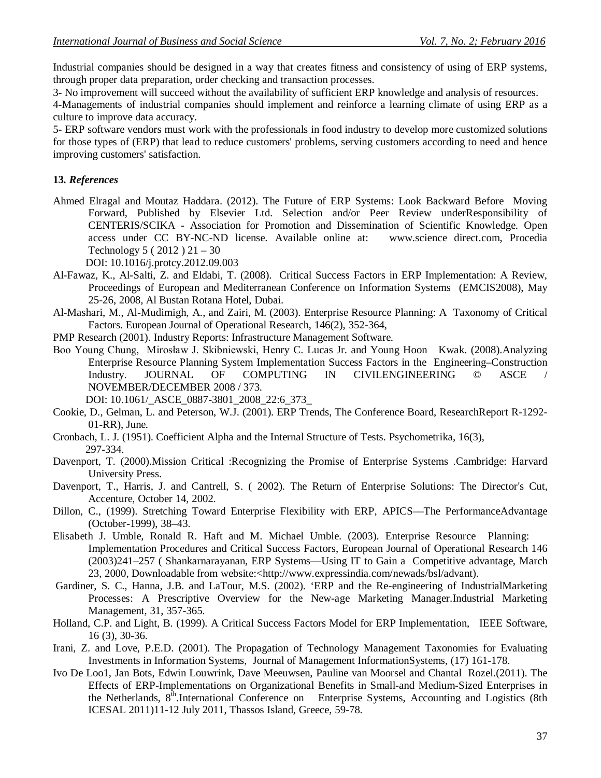Industrial companies should be designed in a way that creates fitness and consistency of using of ERP systems, through proper data preparation, order checking and transaction processes.

3- No improvement will succeed without the availability of sufficient ERP knowledge and analysis of resources.

4-Managements of industrial companies should implement and reinforce a learning climate of using ERP as a culture to improve data accuracy.

5- ERP software vendors must work with the professionals in food industry to develop more customized solutions for those types of (ERP) that lead to reduce customers' problems, serving customers according to need and hence improving customers' satisfaction.

## **13***. References*

Ahmed Elragal and Moutaz Haddara. (2012). The Future of ERP Systems: Look Backward Before Moving Forward, Published by Elsevier Ltd. Selection and/or Peer Review underResponsibility of CENTERIS/SCIKA - Association for Promotion and Dissemination of Scientific Knowledge. Open access under CC BY-NC-ND license. Available online at: www.science direct.com, Procedia Technology 5 ( 2012 ) 21 – 30

DOI: 10.1016/j.protcy.2012.09.003

- Al-Fawaz, K., Al-Salti, Z. and Eldabi, T. (2008). Critical Success Factors in ERP Implementation: A Review, Proceedings of European and Mediterranean Conference on Information Systems (EMCIS2008), May 25-26, 2008, Al Bustan Rotana Hotel, Dubai.
- Al-Mashari, M., Al-Mudimigh, A., and Zairi, M. (2003). Enterprise Resource Planning: A Taxonomy of Critical Factors. European Journal of Operational Research, 146(2), 352-364,
- PMP Research (2001). Industry Reports: Infrastructure Management Software.
- Boo Young Chung, Mirosław J. Skibniewski, Henry C. Lucas Jr. and Young Hoon Kwak. (2008).Analyzing Enterprise Resource Planning System Implementation Success Factors in the Engineering–Construction<br>
Industry. JOURNAL OF COMPUTING IN CIVILENGINEERING © ASCE / Industry. JOURNAL OF COMPUTING IN CIVILENGINEERING © ASCE / NOVEMBER/DECEMBER 2008 / 373.

DOI: 10.1061/\_ASCE\_0887-3801\_2008\_22:6\_373\_

- Cookie, D., Gelman, L. and Peterson, W.J. (2001). ERP Trends, The Conference Board, ResearchReport R-1292- 01-RR), June.
- Cronbach, L. J. (1951). Coefficient Alpha and the Internal Structure of Tests. Psychometrika, 16(3), 297-334.
- Davenport, T. (2000).Mission Critical :Recognizing the Promise of Enterprise Systems .Cambridge: Harvard University Press.
- Davenport, T., Harris, J. and Cantrell, S. ( 2002). The Return of Enterprise Solutions: The Director's Cut, Accenture, October 14, 2002.
- Dillon, C., (1999). Stretching Toward Enterprise Flexibility with ERP, APICS––The PerformanceAdvantage (October-1999), 38–43.
- Elisabeth J. Umble, Ronald R. Haft and M. Michael Umble. (2003). Enterprise Resource Planning: Implementation Procedures and Critical Success Factors, European Journal of Operational Research 146 (2003)241–257 ( Shankarnarayanan, ERP Systems––Using IT to Gain a Competitive advantage, March 23, 2000, Downloadable from website:<http://www.expressindia.com/newads/bsl/advant).
- Gardiner, S. C., Hanna, J.B. and LaTour, M.S. (2002). 'ERP and the Re-engineering of IndustrialMarketing Processes: A Prescriptive Overview for the New-age Marketing Manager.Industrial Marketing Management, 31, 357-365.
- Holland, C.P. and Light, B. (1999). A Critical Success Factors Model for ERP Implementation, IEEE Software, 16 (3), 30-36.
- Irani, Z. and Love, P.E.D. (2001). The Propagation of Technology Management Taxonomies for Evaluating Investments in Information Systems, Journal of Management InformationSystems, (17) 161-178.
- Ivo De Loo1, Jan Bots, Edwin Louwrink, Dave Meeuwsen, Pauline van Moorsel and Chantal Rozel.(2011). The Effects of ERP-Implementations on Organizational Benefits in Small-and Medium-Sized Enterprises in the Netherlands, 8th.International Conference on Enterprise Systems, Accounting and Logistics (8th ICESAL 2011)11-12 July 2011, Thassos Island, Greece, 59-78.